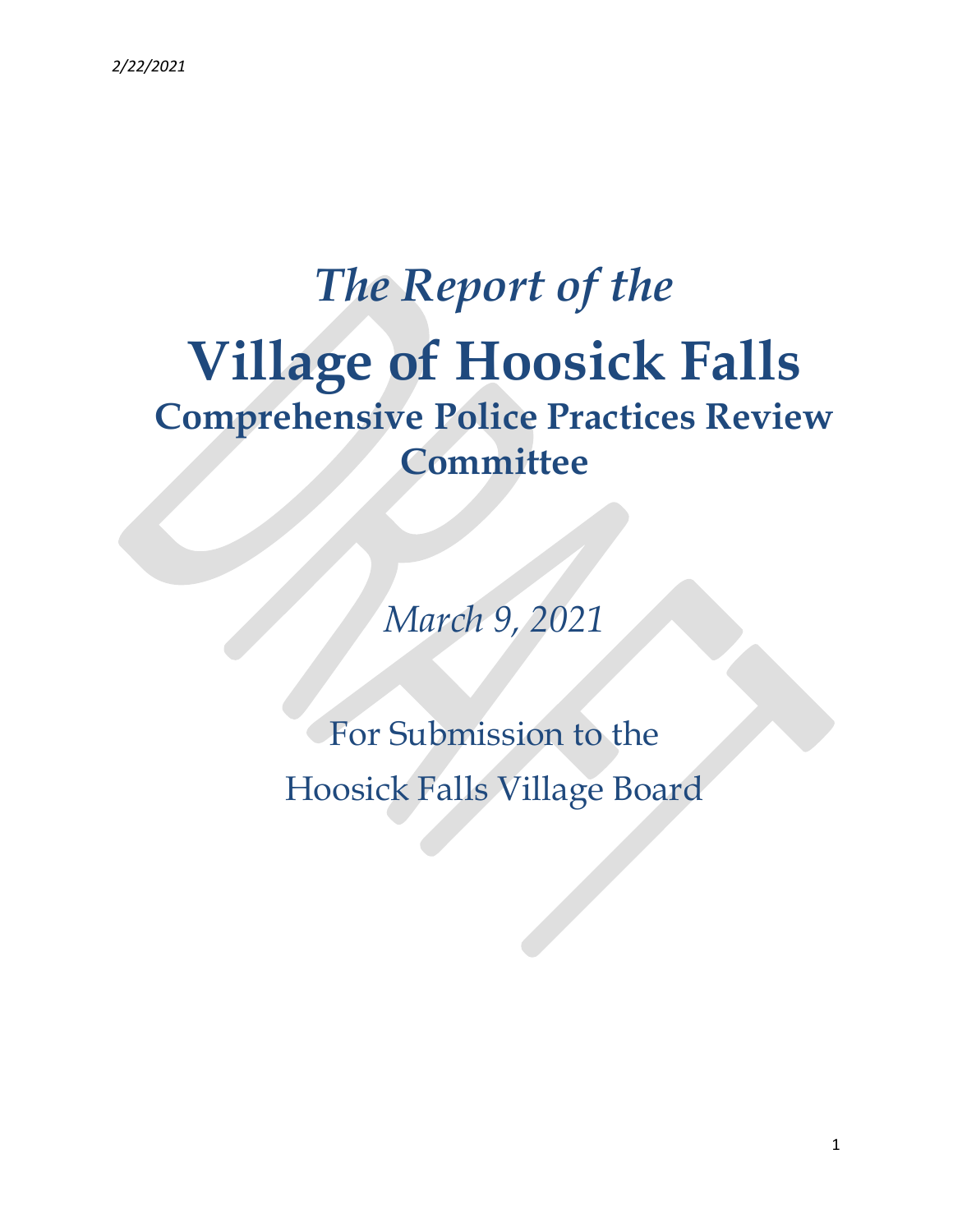# The Report of the Village of Hoosick Falls Comprehensive Police Practices Review **Committee**

March 9, 2021

For Submission to the Hoosick Falls Village Board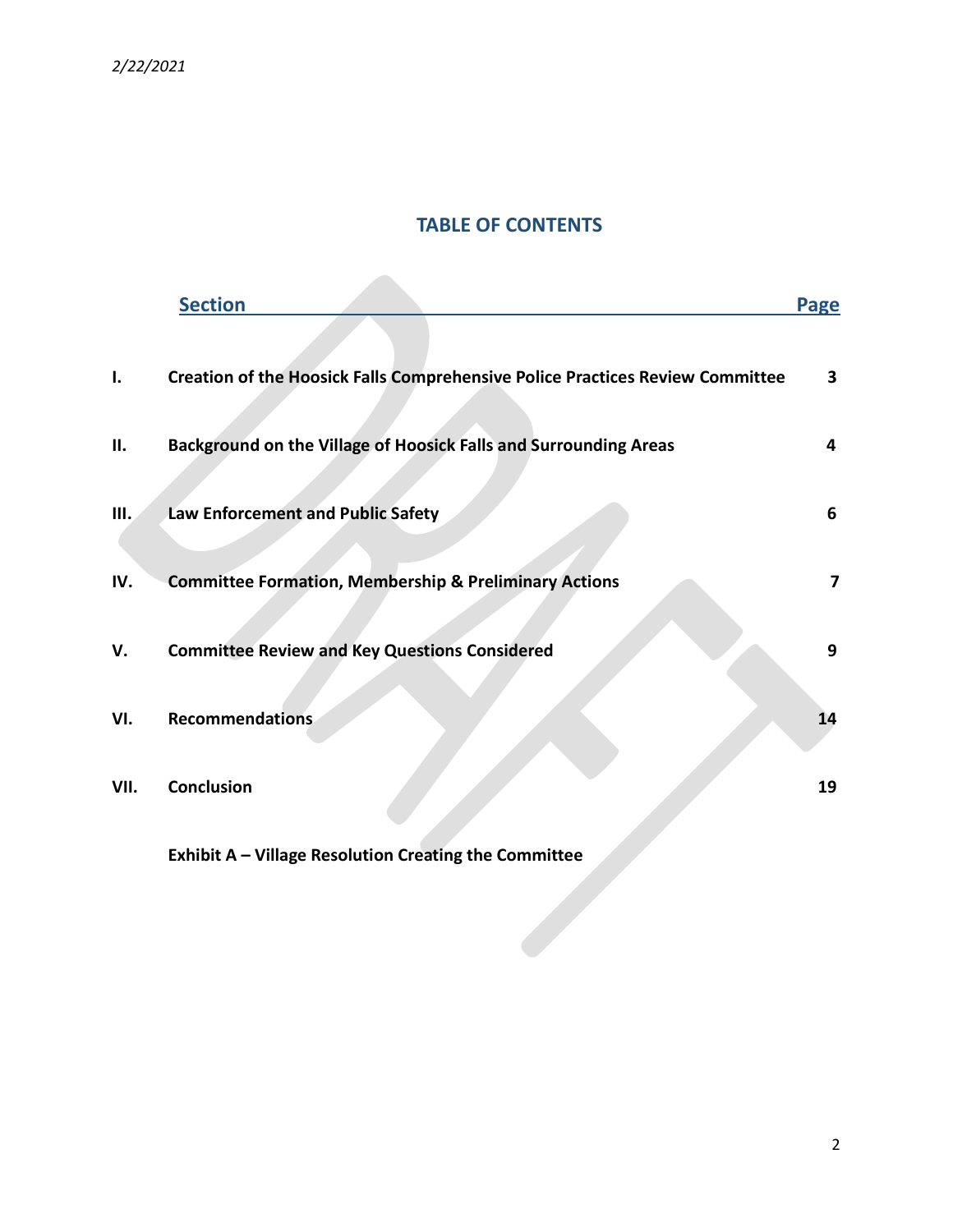# TABLE OF CONTENTS

|      | <b>Section</b>                                                                | Page                    |
|------|-------------------------------------------------------------------------------|-------------------------|
| ı.   | Creation of the Hoosick Falls Comprehensive Police Practices Review Committee | 3                       |
| П.   | Background on the Village of Hoosick Falls and Surrounding Areas              | 4                       |
| Ш.   | Law Enforcement and Public Safety                                             | 6                       |
| IV.  | <b>Committee Formation, Membership &amp; Preliminary Actions</b>              | $\overline{\mathbf{z}}$ |
| V.   | <b>Committee Review and Key Questions Considered</b>                          | 9                       |
| VI.  | <b>Recommendations</b>                                                        | 14                      |
| VII. | Conclusion                                                                    | 19                      |
|      |                                                                               |                         |

Exhibit A – Village Resolution Creating the Committee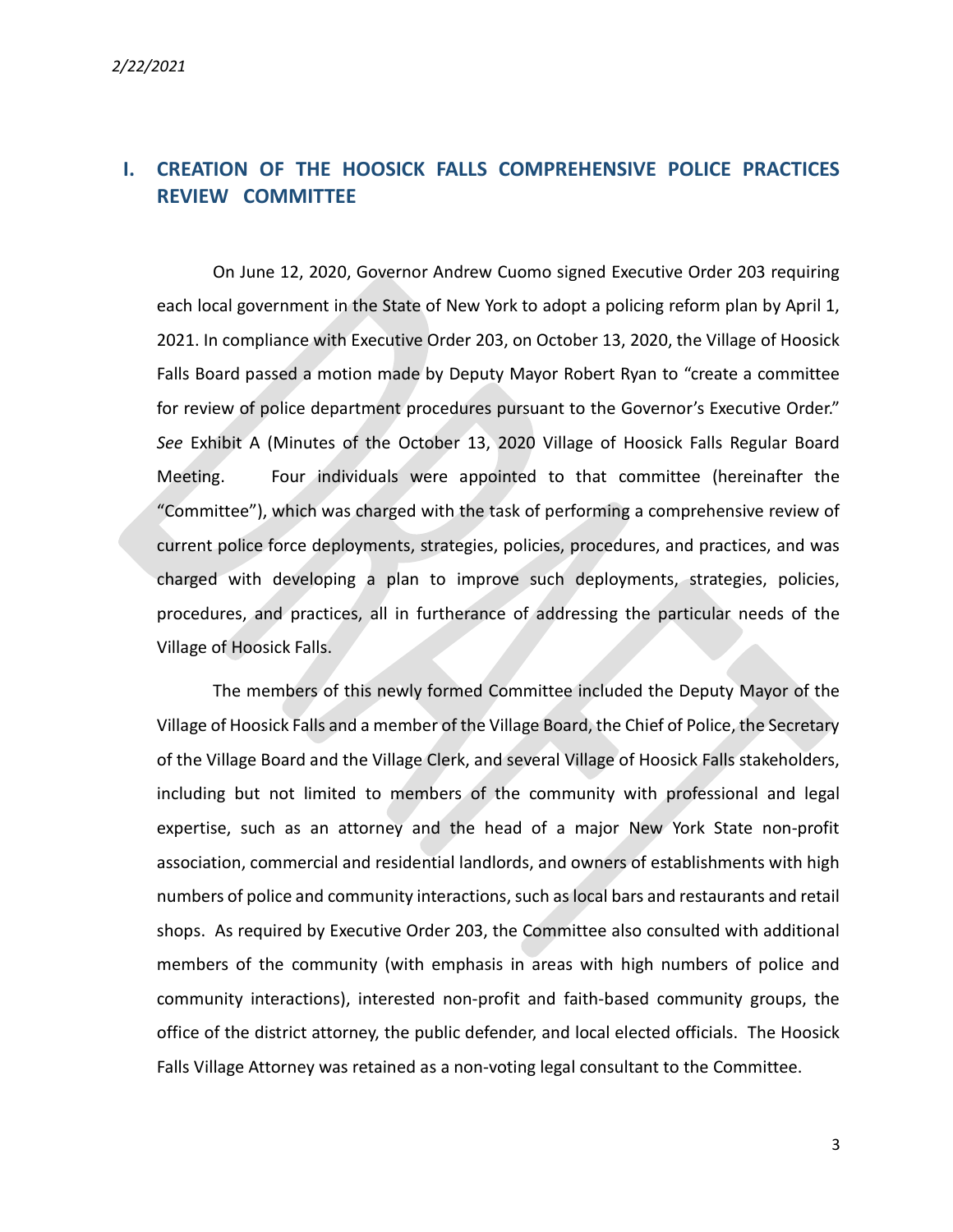# I. CREATION OF THE HOOSICK FALLS COMPREHENSIVE POLICE PRACTICES REVIEW COMMITTEE

On June 12, 2020, Governor Andrew Cuomo signed Executive Order 203 requiring each local government in the State of New York to adopt a policing reform plan by April 1, 2021. In compliance with Executive Order 203, on October 13, 2020, the Village of Hoosick Falls Board passed a motion made by Deputy Mayor Robert Ryan to "create a committee for review of police department procedures pursuant to the Governor's Executive Order." See Exhibit A (Minutes of the October 13, 2020 Village of Hoosick Falls Regular Board Meeting. Four individuals were appointed to that committee (hereinafter the "Committee"), which was charged with the task of performing a comprehensive review of current police force deployments, strategies, policies, procedures, and practices, and was charged with developing a plan to improve such deployments, strategies, policies, procedures, and practices, all in furtherance of addressing the particular needs of the Village of Hoosick Falls.

The members of this newly formed Committee included the Deputy Mayor of the Village of Hoosick Falls and a member of the Village Board, the Chief of Police, the Secretary of the Village Board and the Village Clerk, and several Village of Hoosick Falls stakeholders, including but not limited to members of the community with professional and legal expertise, such as an attorney and the head of a major New York State non-profit association, commercial and residential landlords, and owners of establishments with high numbers of police and community interactions, such as local bars and restaurants and retail shops. As required by Executive Order 203, the Committee also consulted with additional members of the community (with emphasis in areas with high numbers of police and community interactions), interested non-profit and faith-based community groups, the office of the district attorney, the public defender, and local elected officials. The Hoosick Falls Village Attorney was retained as a non-voting legal consultant to the Committee.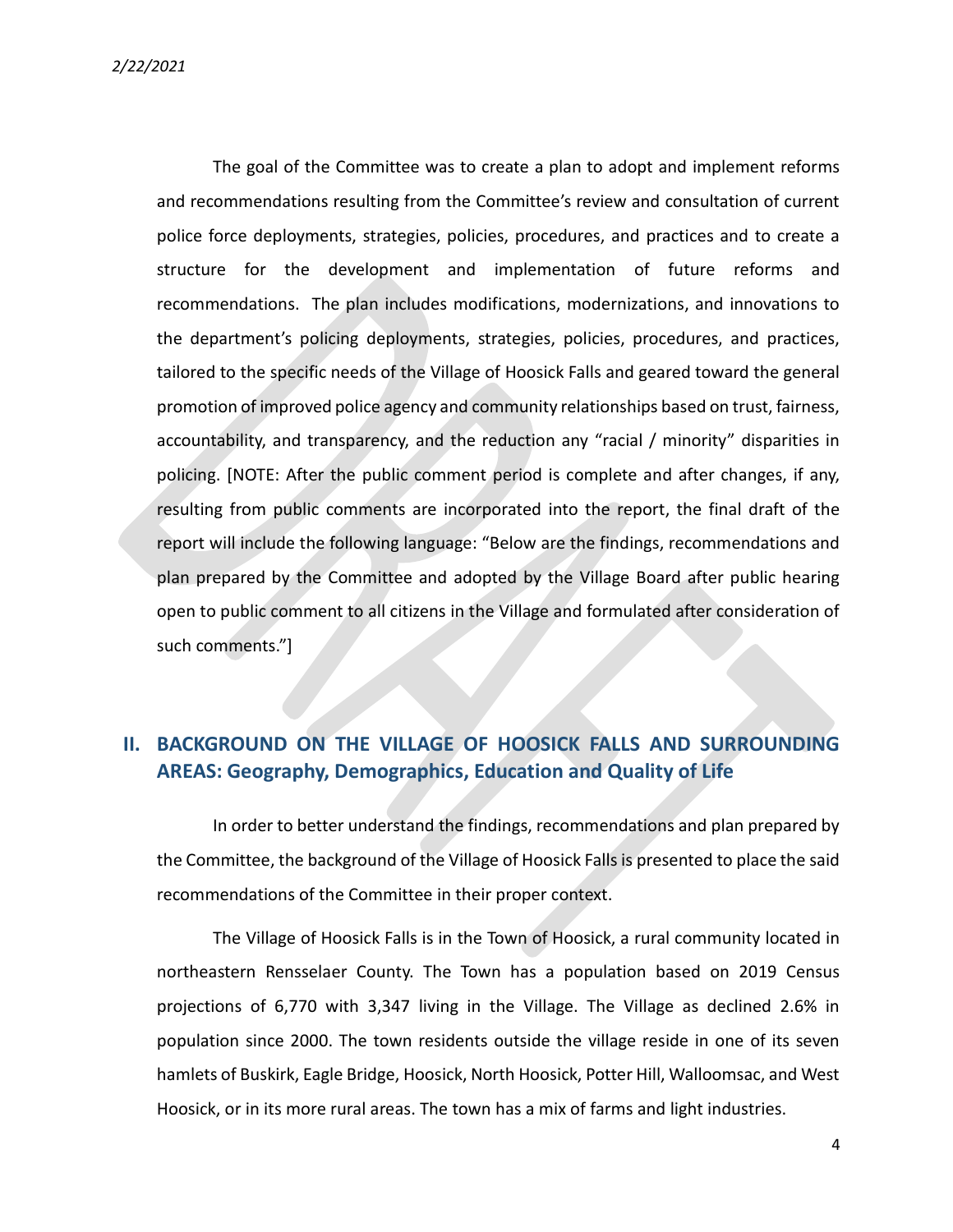The goal of the Committee was to create a plan to adopt and implement reforms and recommendations resulting from the Committee's review and consultation of current police force deployments, strategies, policies, procedures, and practices and to create a structure for the development and implementation of future reforms and recommendations. The plan includes modifications, modernizations, and innovations to the department's policing deployments, strategies, policies, procedures, and practices, tailored to the specific needs of the Village of Hoosick Falls and geared toward the general promotion of improved police agency and community relationships based on trust, fairness, accountability, and transparency, and the reduction any "racial / minority" disparities in policing. [NOTE: After the public comment period is complete and after changes, if any, resulting from public comments are incorporated into the report, the final draft of the report will include the following language: "Below are the findings, recommendations and plan prepared by the Committee and adopted by the Village Board after public hearing open to public comment to all citizens in the Village and formulated after consideration of such comments."]

### II. BACKGROUND ON THE VILLAGE OF HOOSICK FALLS AND SURROUNDING AREAS: Geography, Demographics, Education and Quality of Life

In order to better understand the findings, recommendations and plan prepared by the Committee, the background of the Village of Hoosick Falls is presented to place the said recommendations of the Committee in their proper context.

The Village of Hoosick Falls is in the Town of Hoosick, a rural community located in northeastern Rensselaer County. The Town has a population based on 2019 Census projections of 6,770 with 3,347 living in the Village. The Village as declined 2.6% in population since 2000. The town residents outside the village reside in one of its seven hamlets of Buskirk, Eagle Bridge, Hoosick, North Hoosick, Potter Hill, Walloomsac, and West Hoosick, or in its more rural areas. The town has a mix of farms and light industries.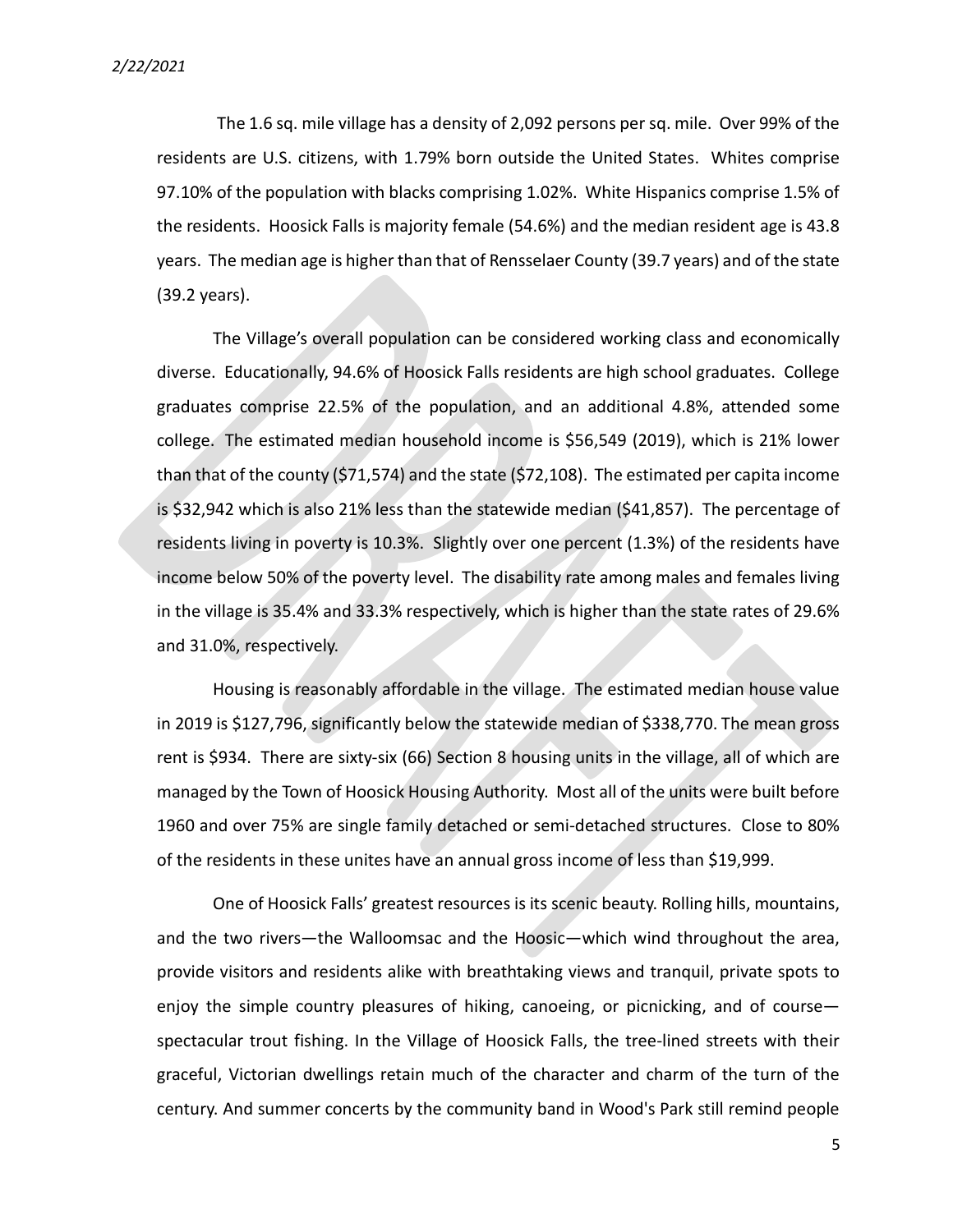The 1.6 sq. mile village has a density of 2,092 persons per sq. mile. Over 99% of the residents are U.S. citizens, with 1.79% born outside the United States. Whites comprise 97.10% of the population with blacks comprising 1.02%. White Hispanics comprise 1.5% of the residents. Hoosick Falls is majority female (54.6%) and the median resident age is 43.8 years. The median age is higher than that of Rensselaer County (39.7 years) and of the state (39.2 years).

The Village's overall population can be considered working class and economically diverse. Educationally, 94.6% of Hoosick Falls residents are high school graduates. College graduates comprise 22.5% of the population, and an additional 4.8%, attended some college. The estimated median household income is \$56,549 (2019), which is 21% lower than that of the county (\$71,574) and the state (\$72,108). The estimated per capita income is \$32,942 which is also 21% less than the statewide median (\$41,857). The percentage of residents living in poverty is 10.3%. Slightly over one percent (1.3%) of the residents have income below 50% of the poverty level. The disability rate among males and females living in the village is 35.4% and 33.3% respectively, which is higher than the state rates of 29.6% and 31.0%, respectively.

Housing is reasonably affordable in the village. The estimated median house value in 2019 is \$127,796, significantly below the statewide median of \$338,770. The mean gross rent is \$934. There are sixty-six (66) Section 8 housing units in the village, all of which are managed by the Town of Hoosick Housing Authority. Most all of the units were built before 1960 and over 75% are single family detached or semi-detached structures. Close to 80% of the residents in these unites have an annual gross income of less than \$19,999.

One of Hoosick Falls' greatest resources is its scenic beauty. Rolling hills, mountains, and the two rivers—the Walloomsac and the Hoosic—which wind throughout the area, provide visitors and residents alike with breathtaking views and tranquil, private spots to enjoy the simple country pleasures of hiking, canoeing, or picnicking, and of course spectacular trout fishing. In the Village of Hoosick Falls, the tree-lined streets with their graceful, Victorian dwellings retain much of the character and charm of the turn of the century. And summer concerts by the community band in Wood's Park still remind people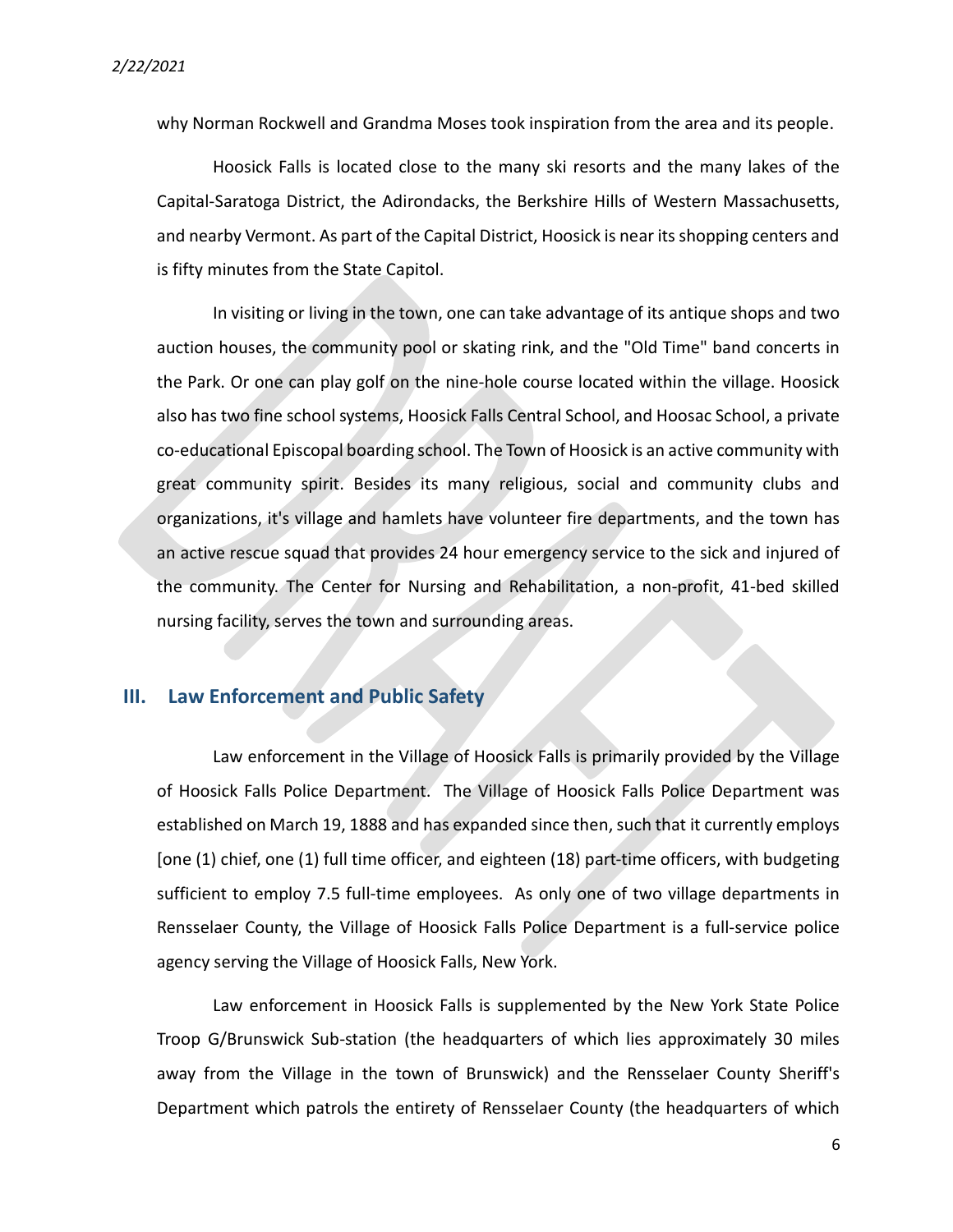why Norman Rockwell and Grandma Moses took inspiration from the area and its people.

Hoosick Falls is located close to the many ski resorts and the many lakes of the Capital-Saratoga District, the Adirondacks, the Berkshire Hills of Western Massachusetts, and nearby Vermont. As part of the Capital District, Hoosick is near its shopping centers and is fifty minutes from the State Capitol.

In visiting or living in the town, one can take advantage of its antique shops and two auction houses, the community pool or skating rink, and the "Old Time" band concerts in the Park. Or one can play golf on the nine-hole course located within the village. Hoosick also has two fine school systems, Hoosick Falls Central School, and Hoosac School, a private co-educational Episcopal boarding school. The Town of Hoosick is an active community with great community spirit. Besides its many religious, social and community clubs and organizations, it's village and hamlets have volunteer fire departments, and the town has an active rescue squad that provides 24 hour emergency service to the sick and injured of the community. The Center for Nursing and Rehabilitation, a non-profit, 41-bed skilled nursing facility, serves the town and surrounding areas.

#### III. Law Enforcement and Public Safety

Law enforcement in the Village of Hoosick Falls is primarily provided by the Village of Hoosick Falls Police Department. The Village of Hoosick Falls Police Department was established on March 19, 1888 and has expanded since then, such that it currently employs [one (1) chief, one (1) full time officer, and eighteen (18) part-time officers, with budgeting sufficient to employ 7.5 full-time employees. As only one of two village departments in Rensselaer County, the Village of Hoosick Falls Police Department is a full-service police agency serving the Village of Hoosick Falls, New York.

Law enforcement in Hoosick Falls is supplemented by the New York State Police Troop G/Brunswick Sub-station (the headquarters of which lies approximately 30 miles away from the Village in the town of Brunswick) and the Rensselaer County Sheriff's Department which patrols the entirety of Rensselaer County (the headquarters of which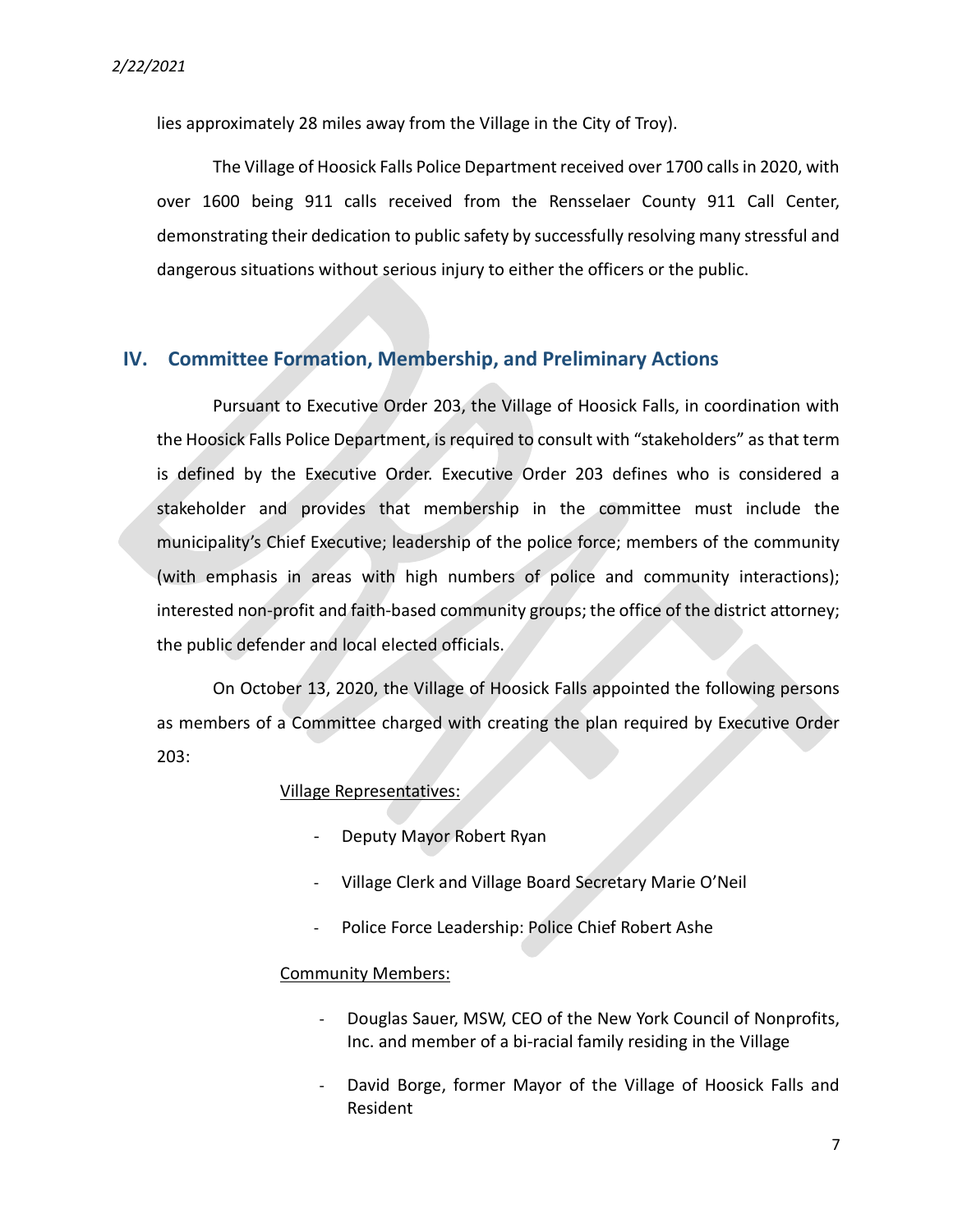lies approximately 28 miles away from the Village in the City of Troy).

The Village of Hoosick Falls Police Department received over 1700 calls in 2020, with over 1600 being 911 calls received from the Rensselaer County 911 Call Center, demonstrating their dedication to public safety by successfully resolving many stressful and dangerous situations without serious injury to either the officers or the public.

#### IV. Committee Formation, Membership, and Preliminary Actions

Pursuant to Executive Order 203, the Village of Hoosick Falls, in coordination with the Hoosick Falls Police Department, is required to consult with "stakeholders" as that term is defined by the Executive Order. Executive Order 203 defines who is considered a stakeholder and provides that membership in the committee must include the municipality's Chief Executive; leadership of the police force; members of the community (with emphasis in areas with high numbers of police and community interactions); interested non-profit and faith-based community groups; the office of the district attorney; the public defender and local elected officials.

On October 13, 2020, the Village of Hoosick Falls appointed the following persons as members of a Committee charged with creating the plan required by Executive Order 203:

#### Village Representatives:

- Deputy Mayor Robert Ryan
- Village Clerk and Village Board Secretary Marie O'Neil
- Police Force Leadership: Police Chief Robert Ashe

#### Community Members:

- Douglas Sauer, MSW, CEO of the New York Council of Nonprofits, Inc. and member of a bi-racial family residing in the Village
- David Borge, former Mayor of the Village of Hoosick Falls and Resident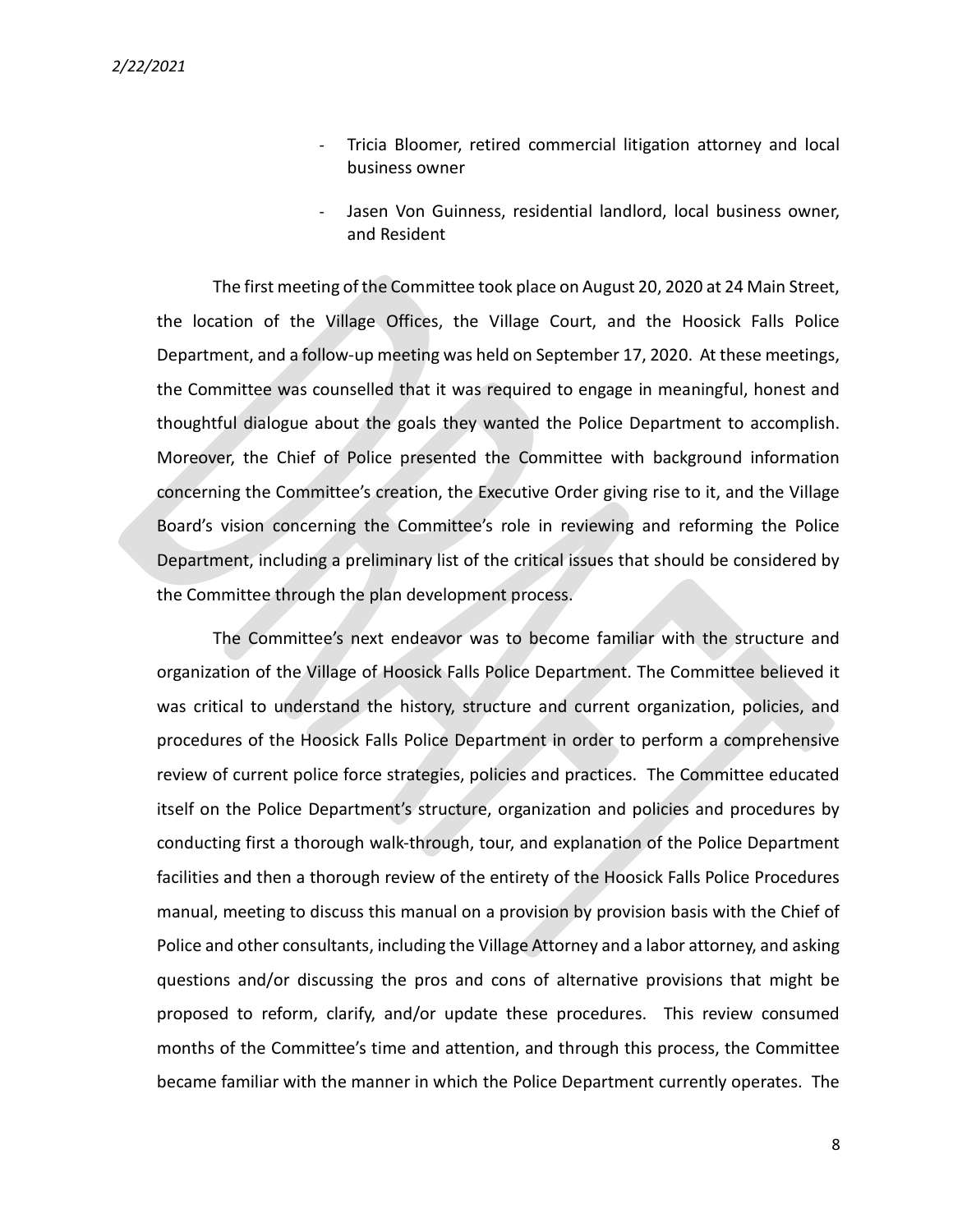- Tricia Bloomer, retired commercial litigation attorney and local business owner
- Jasen Von Guinness, residential landlord, local business owner, and Resident

The first meeting of the Committee took place on August 20, 2020 at 24 Main Street, the location of the Village Offices, the Village Court, and the Hoosick Falls Police Department, and a follow-up meeting was held on September 17, 2020. At these meetings, the Committee was counselled that it was required to engage in meaningful, honest and thoughtful dialogue about the goals they wanted the Police Department to accomplish. Moreover, the Chief of Police presented the Committee with background information concerning the Committee's creation, the Executive Order giving rise to it, and the Village Board's vision concerning the Committee's role in reviewing and reforming the Police Department, including a preliminary list of the critical issues that should be considered by the Committee through the plan development process.

The Committee's next endeavor was to become familiar with the structure and organization of the Village of Hoosick Falls Police Department. The Committee believed it was critical to understand the history, structure and current organization, policies, and procedures of the Hoosick Falls Police Department in order to perform a comprehensive review of current police force strategies, policies and practices. The Committee educated itself on the Police Department's structure, organization and policies and procedures by conducting first a thorough walk-through, tour, and explanation of the Police Department facilities and then a thorough review of the entirety of the Hoosick Falls Police Procedures manual, meeting to discuss this manual on a provision by provision basis with the Chief of Police and other consultants, including the Village Attorney and a labor attorney, and asking questions and/or discussing the pros and cons of alternative provisions that might be proposed to reform, clarify, and/or update these procedures. This review consumed months of the Committee's time and attention, and through this process, the Committee became familiar with the manner in which the Police Department currently operates. The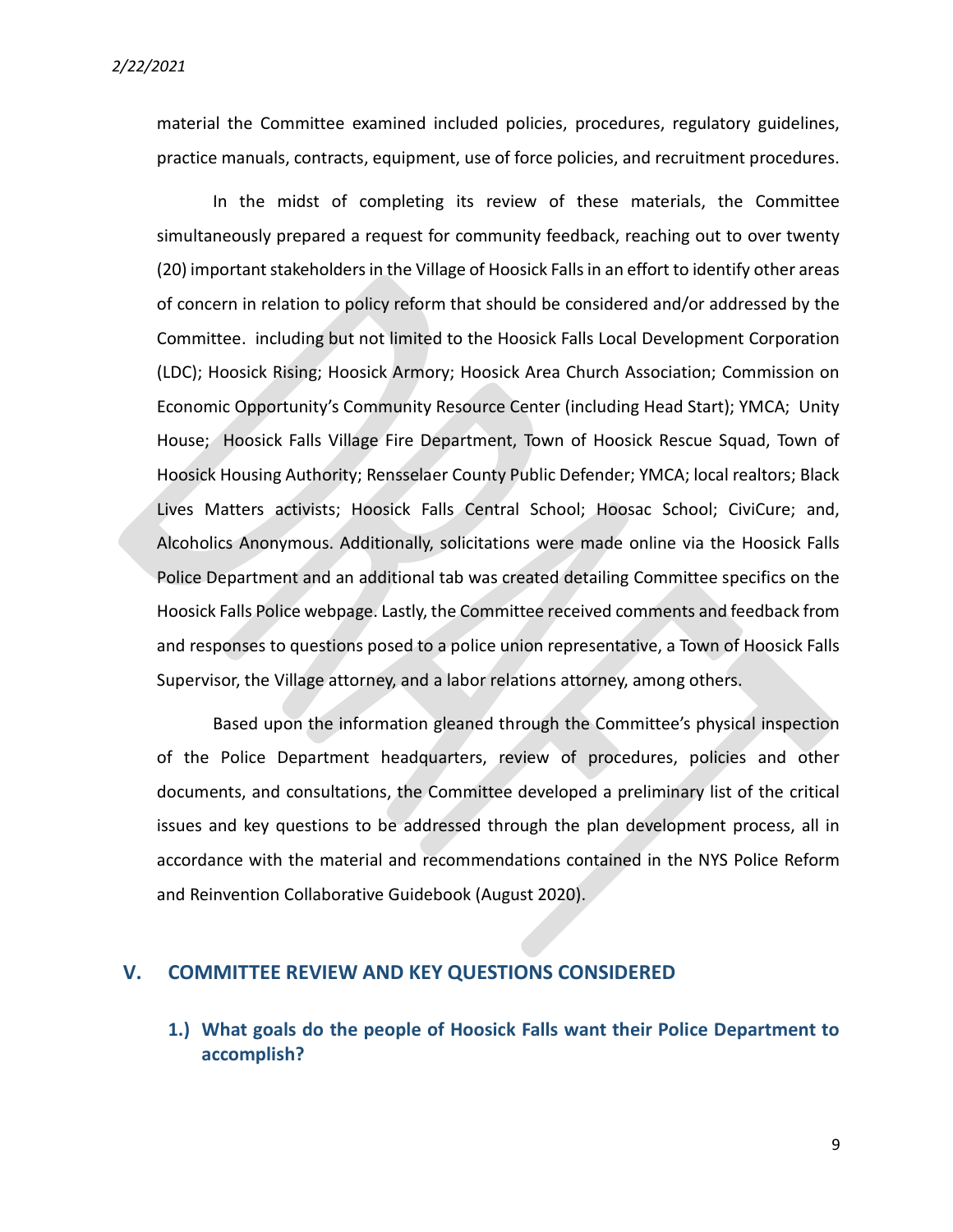material the Committee examined included policies, procedures, regulatory guidelines, practice manuals, contracts, equipment, use of force policies, and recruitment procedures.

In the midst of completing its review of these materials, the Committee simultaneously prepared a request for community feedback, reaching out to over twenty (20) important stakeholders in the Village of Hoosick Falls in an effort to identify other areas of concern in relation to policy reform that should be considered and/or addressed by the Committee. including but not limited to the Hoosick Falls Local Development Corporation (LDC); Hoosick Rising; Hoosick Armory; Hoosick Area Church Association; Commission on Economic Opportunity's Community Resource Center (including Head Start); YMCA; Unity House; Hoosick Falls Village Fire Department, Town of Hoosick Rescue Squad, Town of Hoosick Housing Authority; Rensselaer County Public Defender; YMCA; local realtors; Black Lives Matters activists; Hoosick Falls Central School; Hoosac School; CiviCure; and, Alcoholics Anonymous. Additionally, solicitations were made online via the Hoosick Falls Police Department and an additional tab was created detailing Committee specifics on the Hoosick Falls Police webpage. Lastly, the Committee received comments and feedback from and responses to questions posed to a police union representative, a Town of Hoosick Falls Supervisor, the Village attorney, and a labor relations attorney, among others.

Based upon the information gleaned through the Committee's physical inspection of the Police Department headquarters, review of procedures, policies and other documents, and consultations, the Committee developed a preliminary list of the critical issues and key questions to be addressed through the plan development process, all in accordance with the material and recommendations contained in the NYS Police Reform and Reinvention Collaborative Guidebook (August 2020).

#### V. COMMITTEE REVIEW AND KEY QUESTIONS CONSIDERED

1.) What goals do the people of Hoosick Falls want their Police Department to accomplish?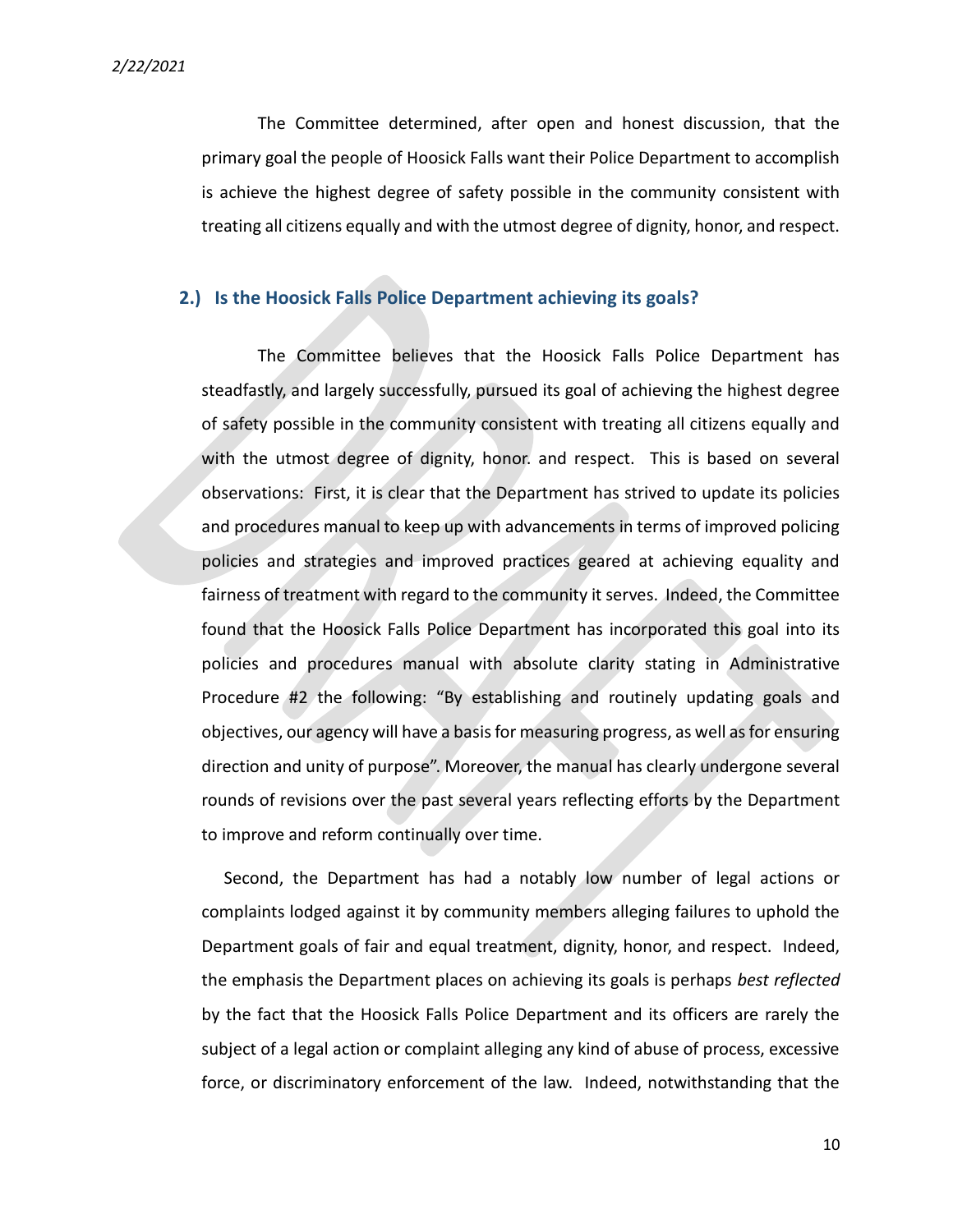2/22/2021

The Committee determined, after open and honest discussion, that the primary goal the people of Hoosick Falls want their Police Department to accomplish is achieve the highest degree of safety possible in the community consistent with treating all citizens equally and with the utmost degree of dignity, honor, and respect.

#### 2.) Is the Hoosick Falls Police Department achieving its goals?

The Committee believes that the Hoosick Falls Police Department has steadfastly, and largely successfully, pursued its goal of achieving the highest degree of safety possible in the community consistent with treating all citizens equally and with the utmost degree of dignity, honor. and respect. This is based on several observations: First, it is clear that the Department has strived to update its policies and procedures manual to keep up with advancements in terms of improved policing policies and strategies and improved practices geared at achieving equality and fairness of treatment with regard to the community it serves. Indeed, the Committee found that the Hoosick Falls Police Department has incorporated this goal into its policies and procedures manual with absolute clarity stating in Administrative Procedure #2 the following: "By establishing and routinely updating goals and objectives, our agency will have a basis for measuring progress, as well as for ensuring direction and unity of purpose". Moreover, the manual has clearly undergone several rounds of revisions over the past several years reflecting efforts by the Department to improve and reform continually over time.

 Second, the Department has had a notably low number of legal actions or complaints lodged against it by community members alleging failures to uphold the Department goals of fair and equal treatment, dignity, honor, and respect. Indeed, the emphasis the Department places on achieving its goals is perhaps best reflected by the fact that the Hoosick Falls Police Department and its officers are rarely the subject of a legal action or complaint alleging any kind of abuse of process, excessive force, or discriminatory enforcement of the law. Indeed, notwithstanding that the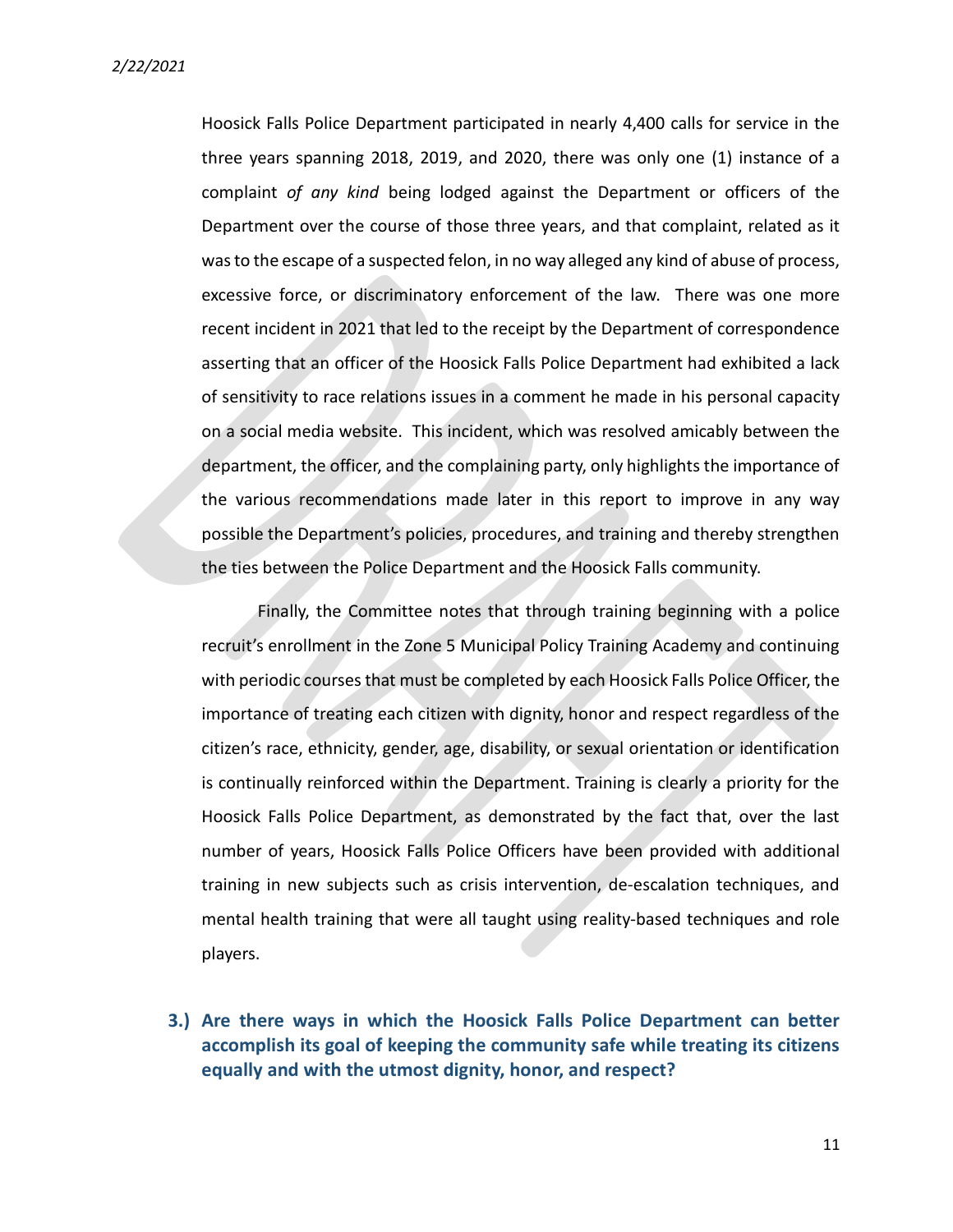Hoosick Falls Police Department participated in nearly 4,400 calls for service in the three years spanning 2018, 2019, and 2020, there was only one (1) instance of a complaint of any kind being lodged against the Department or officers of the Department over the course of those three years, and that complaint, related as it was to the escape of a suspected felon, in no way alleged any kind of abuse of process, excessive force, or discriminatory enforcement of the law. There was one more recent incident in 2021 that led to the receipt by the Department of correspondence asserting that an officer of the Hoosick Falls Police Department had exhibited a lack of sensitivity to race relations issues in a comment he made in his personal capacity on a social media website. This incident, which was resolved amicably between the department, the officer, and the complaining party, only highlights the importance of the various recommendations made later in this report to improve in any way possible the Department's policies, procedures, and training and thereby strengthen the ties between the Police Department and the Hoosick Falls community.

Finally, the Committee notes that through training beginning with a police recruit's enrollment in the Zone 5 Municipal Policy Training Academy and continuing with periodic courses that must be completed by each Hoosick Falls Police Officer, the importance of treating each citizen with dignity, honor and respect regardless of the citizen's race, ethnicity, gender, age, disability, or sexual orientation or identification is continually reinforced within the Department. Training is clearly a priority for the Hoosick Falls Police Department, as demonstrated by the fact that, over the last number of years, Hoosick Falls Police Officers have been provided with additional training in new subjects such as crisis intervention, de-escalation techniques, and mental health training that were all taught using reality-based techniques and role players.

3.) Are there ways in which the Hoosick Falls Police Department can better accomplish its goal of keeping the community safe while treating its citizens equally and with the utmost dignity, honor, and respect?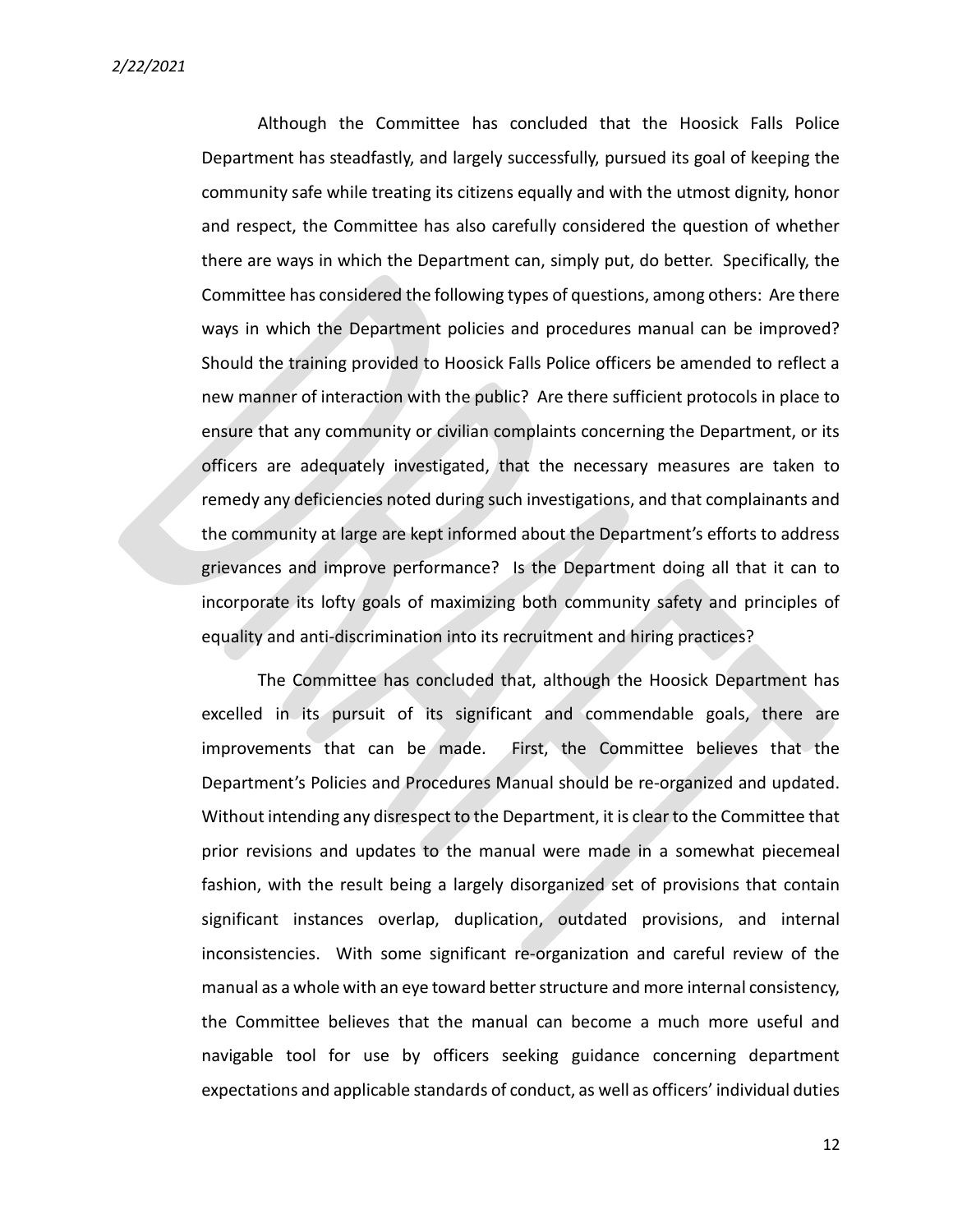Although the Committee has concluded that the Hoosick Falls Police Department has steadfastly, and largely successfully, pursued its goal of keeping the community safe while treating its citizens equally and with the utmost dignity, honor and respect, the Committee has also carefully considered the question of whether there are ways in which the Department can, simply put, do better. Specifically, the Committee has considered the following types of questions, among others: Are there ways in which the Department policies and procedures manual can be improved? Should the training provided to Hoosick Falls Police officers be amended to reflect a new manner of interaction with the public? Are there sufficient protocols in place to ensure that any community or civilian complaints concerning the Department, or its officers are adequately investigated, that the necessary measures are taken to remedy any deficiencies noted during such investigations, and that complainants and the community at large are kept informed about the Department's efforts to address grievances and improve performance? Is the Department doing all that it can to incorporate its lofty goals of maximizing both community safety and principles of equality and anti-discrimination into its recruitment and hiring practices?

The Committee has concluded that, although the Hoosick Department has excelled in its pursuit of its significant and commendable goals, there are improvements that can be made. First, the Committee believes that the Department's Policies and Procedures Manual should be re-organized and updated. Without intending any disrespect to the Department, it is clear to the Committee that prior revisions and updates to the manual were made in a somewhat piecemeal fashion, with the result being a largely disorganized set of provisions that contain significant instances overlap, duplication, outdated provisions, and internal inconsistencies. With some significant re-organization and careful review of the manual as a whole with an eye toward better structure and more internal consistency, the Committee believes that the manual can become a much more useful and navigable tool for use by officers seeking guidance concerning department expectations and applicable standards of conduct, as well as officers' individual duties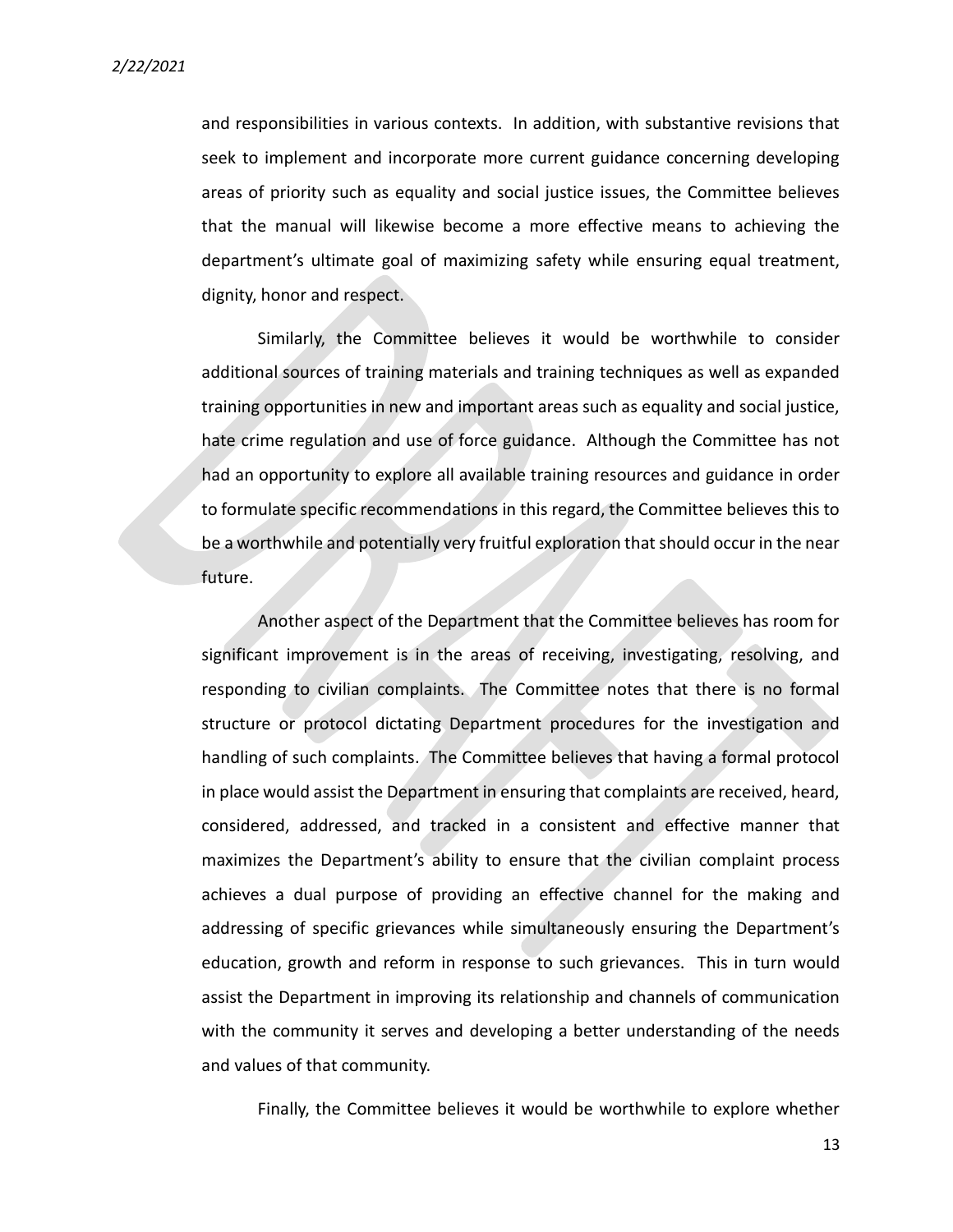and responsibilities in various contexts. In addition, with substantive revisions that seek to implement and incorporate more current guidance concerning developing areas of priority such as equality and social justice issues, the Committee believes that the manual will likewise become a more effective means to achieving the department's ultimate goal of maximizing safety while ensuring equal treatment, dignity, honor and respect.

Similarly, the Committee believes it would be worthwhile to consider additional sources of training materials and training techniques as well as expanded training opportunities in new and important areas such as equality and social justice, hate crime regulation and use of force guidance. Although the Committee has not had an opportunity to explore all available training resources and guidance in order to formulate specific recommendations in this regard, the Committee believes this to be a worthwhile and potentially very fruitful exploration that should occur in the near future.

Another aspect of the Department that the Committee believes has room for significant improvement is in the areas of receiving, investigating, resolving, and responding to civilian complaints. The Committee notes that there is no formal structure or protocol dictating Department procedures for the investigation and handling of such complaints. The Committee believes that having a formal protocol in place would assist the Department in ensuring that complaints are received, heard, considered, addressed, and tracked in a consistent and effective manner that maximizes the Department's ability to ensure that the civilian complaint process achieves a dual purpose of providing an effective channel for the making and addressing of specific grievances while simultaneously ensuring the Department's education, growth and reform in response to such grievances. This in turn would assist the Department in improving its relationship and channels of communication with the community it serves and developing a better understanding of the needs and values of that community.

Finally, the Committee believes it would be worthwhile to explore whether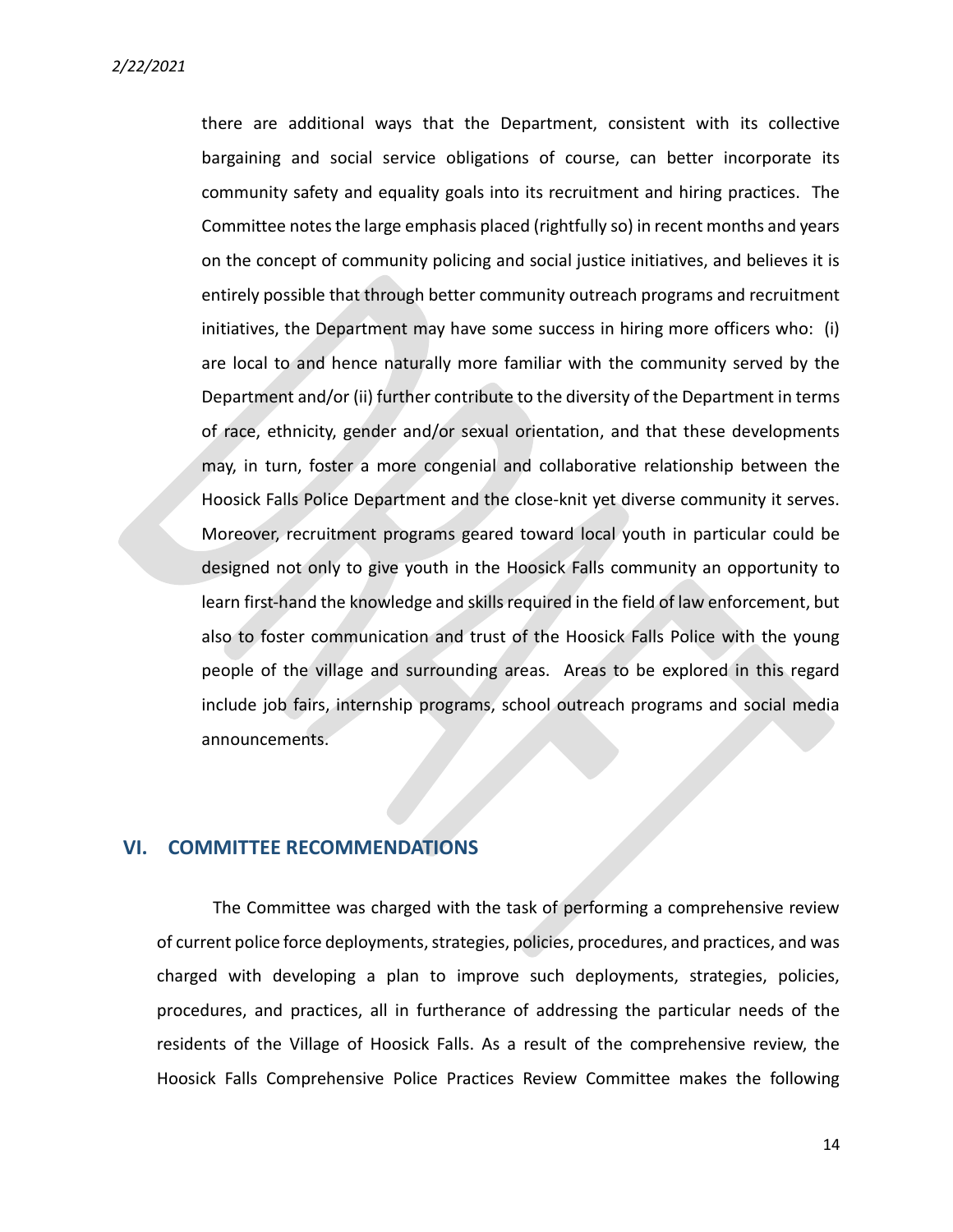there are additional ways that the Department, consistent with its collective bargaining and social service obligations of course, can better incorporate its community safety and equality goals into its recruitment and hiring practices. The Committee notes the large emphasis placed (rightfully so) in recent months and years on the concept of community policing and social justice initiatives, and believes it is entirely possible that through better community outreach programs and recruitment initiatives, the Department may have some success in hiring more officers who: (i) are local to and hence naturally more familiar with the community served by the Department and/or (ii) further contribute to the diversity of the Department in terms of race, ethnicity, gender and/or sexual orientation, and that these developments may, in turn, foster a more congenial and collaborative relationship between the Hoosick Falls Police Department and the close-knit yet diverse community it serves. Moreover, recruitment programs geared toward local youth in particular could be designed not only to give youth in the Hoosick Falls community an opportunity to learn first-hand the knowledge and skills required in the field of law enforcement, but also to foster communication and trust of the Hoosick Falls Police with the young people of the village and surrounding areas. Areas to be explored in this regard include job fairs, internship programs, school outreach programs and social media announcements.

#### VI. COMMITTEE RECOMMENDATIONS

The Committee was charged with the task of performing a comprehensive review of current police force deployments, strategies, policies, procedures, and practices, and was charged with developing a plan to improve such deployments, strategies, policies, procedures, and practices, all in furtherance of addressing the particular needs of the residents of the Village of Hoosick Falls. As a result of the comprehensive review, the Hoosick Falls Comprehensive Police Practices Review Committee makes the following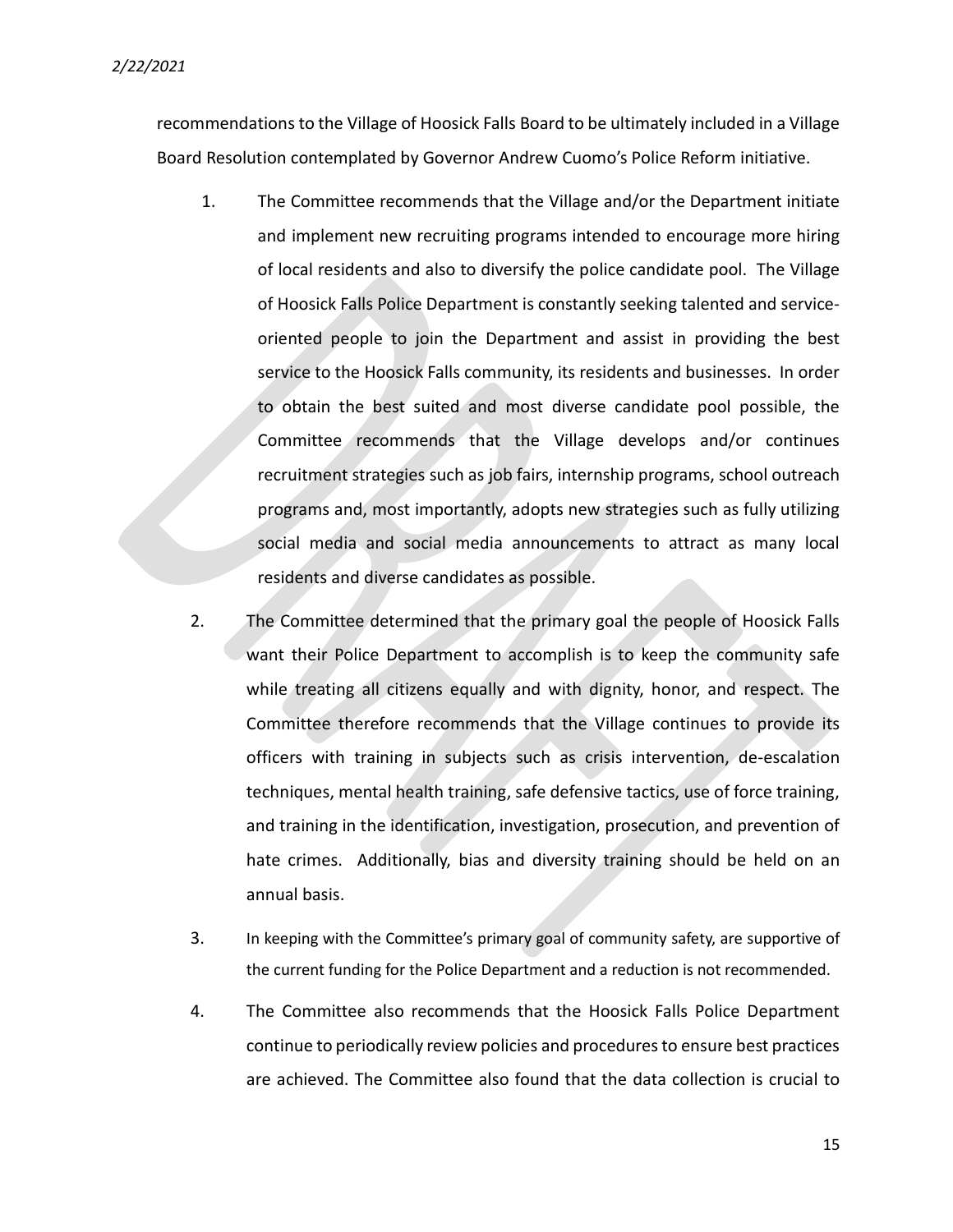recommendations to the Village of Hoosick Falls Board to be ultimately included in a Village Board Resolution contemplated by Governor Andrew Cuomo's Police Reform initiative.

- 1. The Committee recommends that the Village and/or the Department initiate and implement new recruiting programs intended to encourage more hiring of local residents and also to diversify the police candidate pool. The Village of Hoosick Falls Police Department is constantly seeking talented and serviceoriented people to join the Department and assist in providing the best service to the Hoosick Falls community, its residents and businesses. In order to obtain the best suited and most diverse candidate pool possible, the Committee recommends that the Village develops and/or continues recruitment strategies such as job fairs, internship programs, school outreach programs and, most importantly, adopts new strategies such as fully utilizing social media and social media announcements to attract as many local residents and diverse candidates as possible.
- 2. The Committee determined that the primary goal the people of Hoosick Falls want their Police Department to accomplish is to keep the community safe while treating all citizens equally and with dignity, honor, and respect. The Committee therefore recommends that the Village continues to provide its officers with training in subjects such as crisis intervention, de-escalation techniques, mental health training, safe defensive tactics, use of force training, and training in the identification, investigation, prosecution, and prevention of hate crimes. Additionally, bias and diversity training should be held on an annual basis.
- 3. In keeping with the Committee's primary goal of community safety, are supportive of the current funding for the Police Department and a reduction is not recommended.
- 4. The Committee also recommends that the Hoosick Falls Police Department continue to periodically review policies and procedures to ensure best practices are achieved. The Committee also found that the data collection is crucial to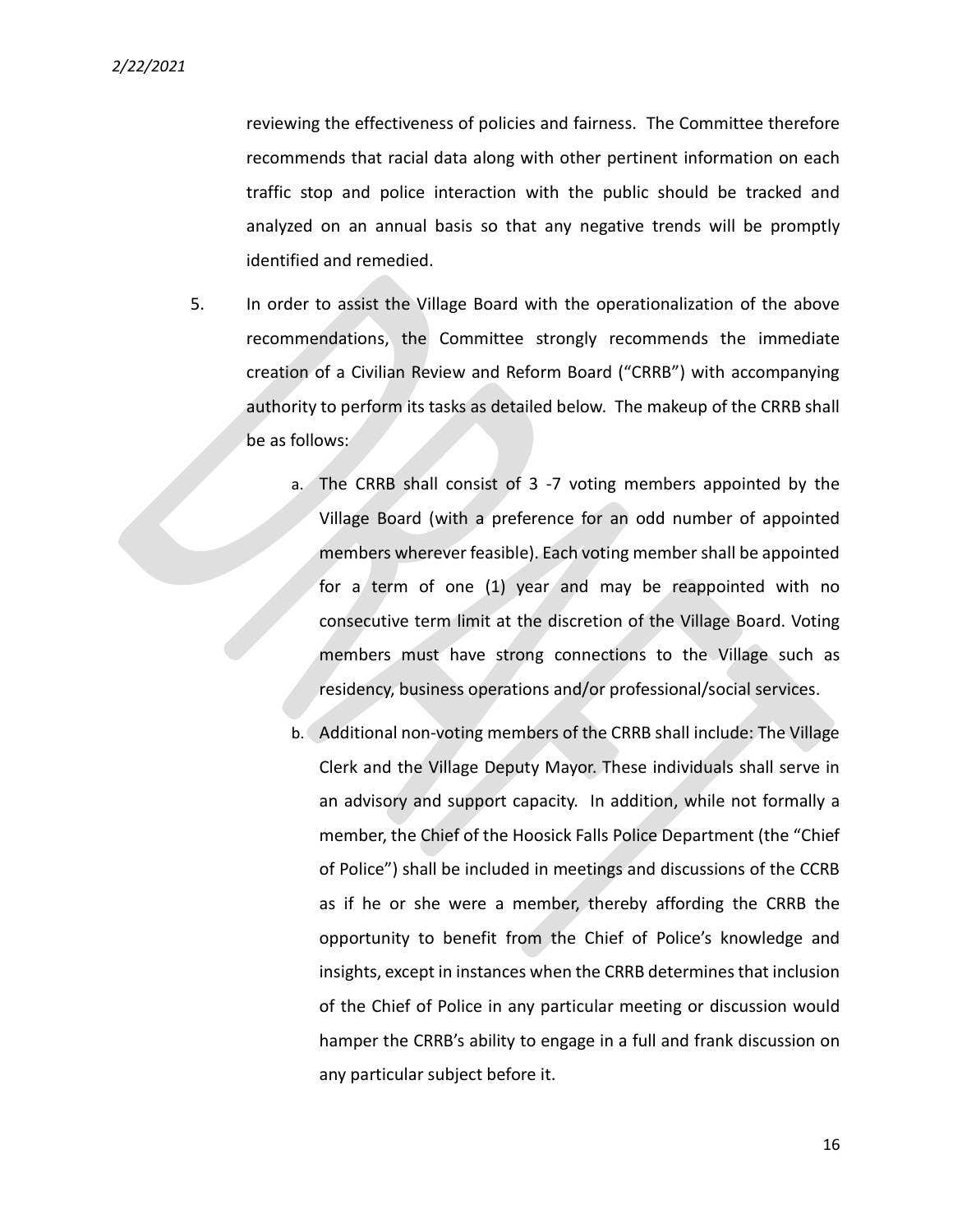reviewing the effectiveness of policies and fairness. The Committee therefore recommends that racial data along with other pertinent information on each traffic stop and police interaction with the public should be tracked and analyzed on an annual basis so that any negative trends will be promptly identified and remedied.

- 5. In order to assist the Village Board with the operationalization of the above recommendations, the Committee strongly recommends the immediate creation of a Civilian Review and Reform Board ("CRRB") with accompanying authority to perform its tasks as detailed below. The makeup of the CRRB shall be as follows:
	- a. The CRRB shall consist of 3 -7 voting members appointed by the Village Board (with a preference for an odd number of appointed members wherever feasible). Each voting member shall be appointed for a term of one (1) year and may be reappointed with no consecutive term limit at the discretion of the Village Board. Voting members must have strong connections to the Village such as residency, business operations and/or professional/social services.
	- b. Additional non-voting members of the CRRB shall include: The Village Clerk and the Village Deputy Mayor. These individuals shall serve in an advisory and support capacity. In addition, while not formally a member, the Chief of the Hoosick Falls Police Department (the "Chief of Police") shall be included in meetings and discussions of the CCRB as if he or she were a member, thereby affording the CRRB the opportunity to benefit from the Chief of Police's knowledge and insights, except in instances when the CRRB determines that inclusion of the Chief of Police in any particular meeting or discussion would hamper the CRRB's ability to engage in a full and frank discussion on any particular subject before it.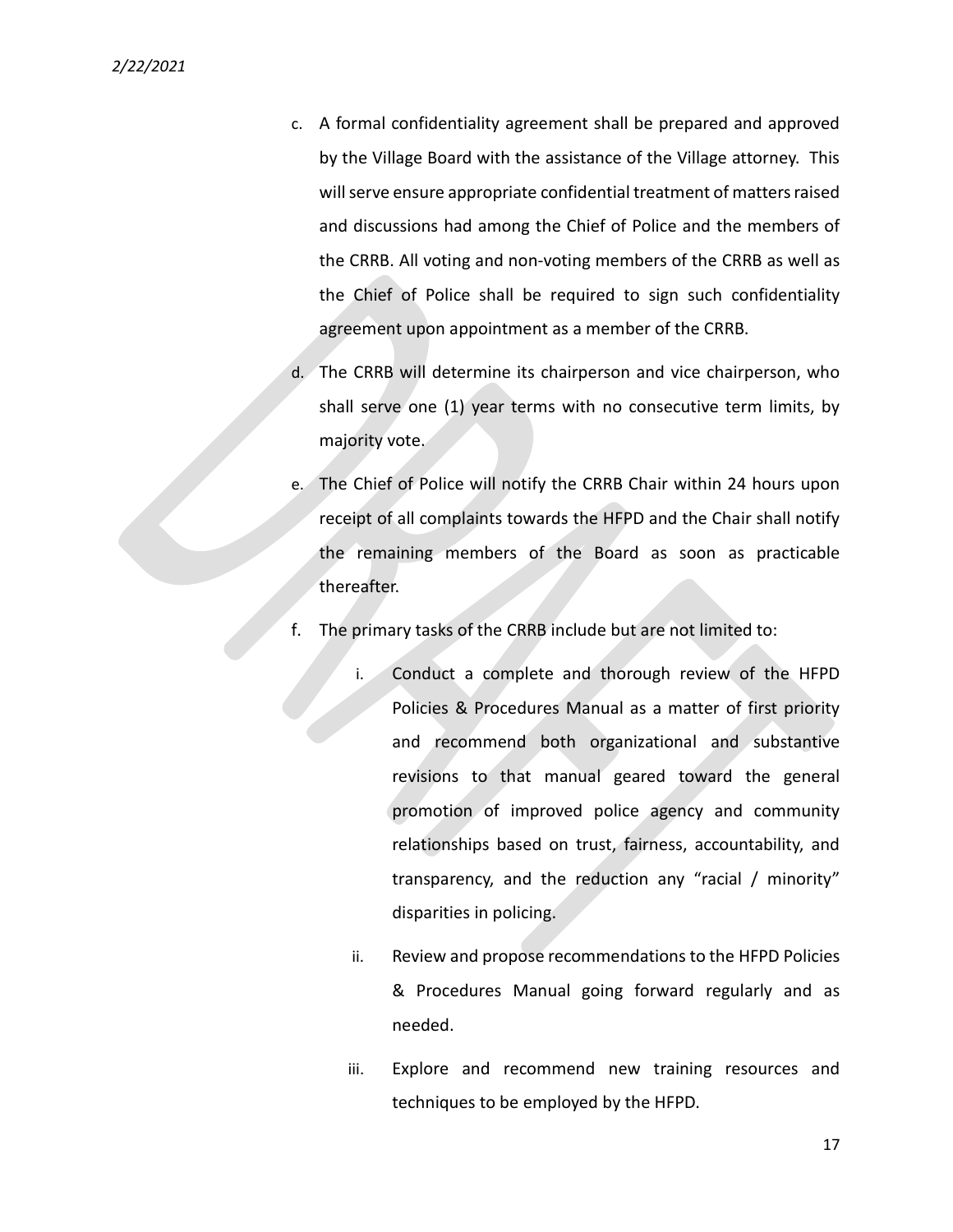- c. A formal confidentiality agreement shall be prepared and approved by the Village Board with the assistance of the Village attorney. This will serve ensure appropriate confidential treatment of matters raised and discussions had among the Chief of Police and the members of the CRRB. All voting and non-voting members of the CRRB as well as the Chief of Police shall be required to sign such confidentiality agreement upon appointment as a member of the CRRB.
- d. The CRRB will determine its chairperson and vice chairperson, who shall serve one (1) year terms with no consecutive term limits, by majority vote.
- e. The Chief of Police will notify the CRRB Chair within 24 hours upon receipt of all complaints towards the HFPD and the Chair shall notify the remaining members of the Board as soon as practicable thereafter.
- f. The primary tasks of the CRRB include but are not limited to:
	- i. Conduct a complete and thorough review of the HFPD Policies & Procedures Manual as a matter of first priority and recommend both organizational and substantive revisions to that manual geared toward the general promotion of improved police agency and community relationships based on trust, fairness, accountability, and transparency, and the reduction any "racial / minority" disparities in policing.
	- ii. Review and propose recommendations to the HFPD Policies & Procedures Manual going forward regularly and as needed.
	- iii. Explore and recommend new training resources and techniques to be employed by the HFPD.

17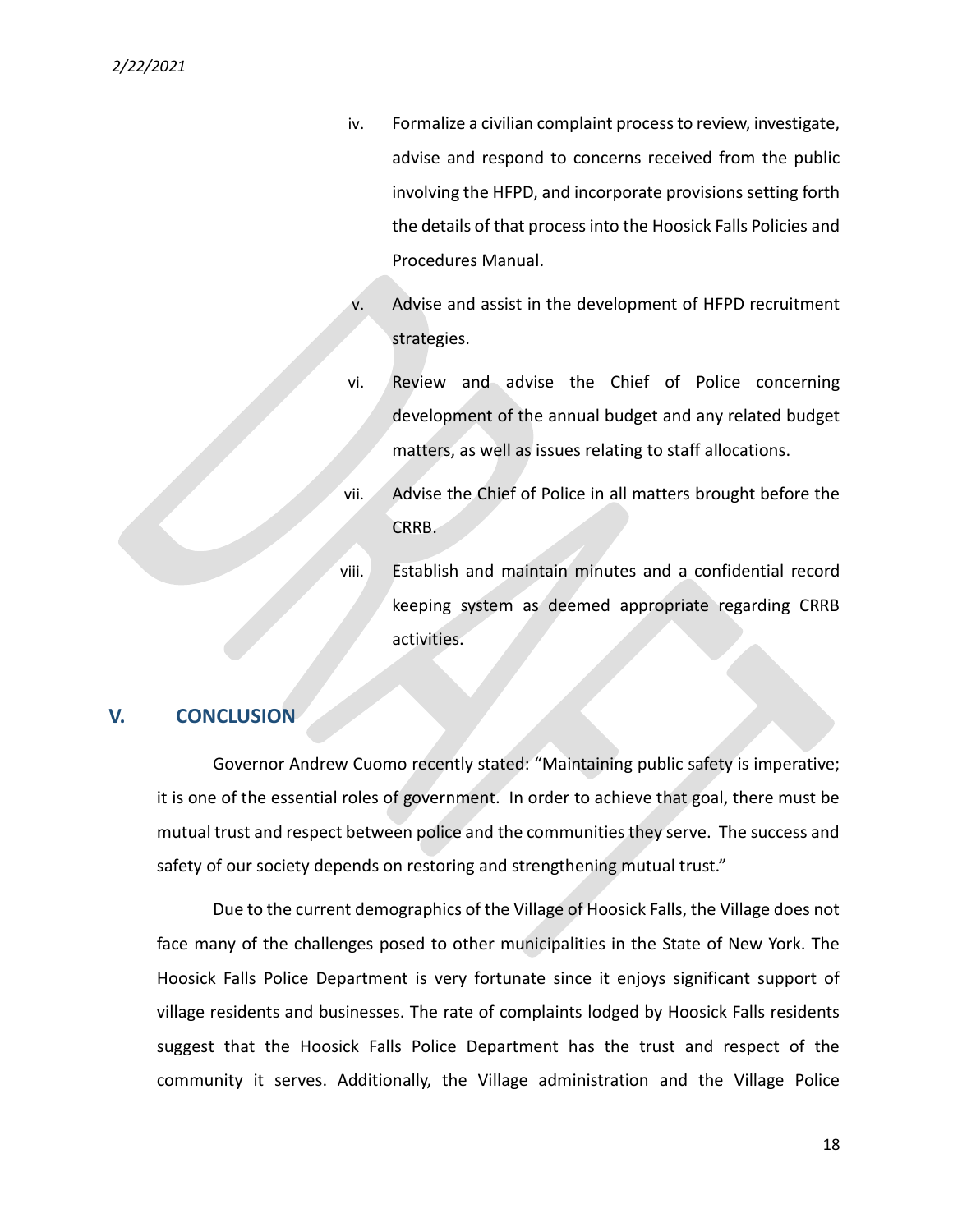- iv. Formalize a civilian complaint process to review, investigate, advise and respond to concerns received from the public involving the HFPD, and incorporate provisions setting forth the details of that process into the Hoosick Falls Policies and Procedures Manual.
- v. Advise and assist in the development of HFPD recruitment strategies.
- vi. Review and advise the Chief of Police concerning development of the annual budget and any related budget matters, as well as issues relating to staff allocations.
- vii. Advise the Chief of Police in all matters brought before the CRRB.
- viii. Establish and maintain minutes and a confidential record keeping system as deemed appropriate regarding CRRB activities.

#### V. CONCLUSION

Governor Andrew Cuomo recently stated: "Maintaining public safety is imperative; it is one of the essential roles of government. In order to achieve that goal, there must be mutual trust and respect between police and the communities they serve. The success and safety of our society depends on restoring and strengthening mutual trust."

Due to the current demographics of the Village of Hoosick Falls, the Village does not face many of the challenges posed to other municipalities in the State of New York. The Hoosick Falls Police Department is very fortunate since it enjoys significant support of village residents and businesses. The rate of complaints lodged by Hoosick Falls residents suggest that the Hoosick Falls Police Department has the trust and respect of the community it serves. Additionally, the Village administration and the Village Police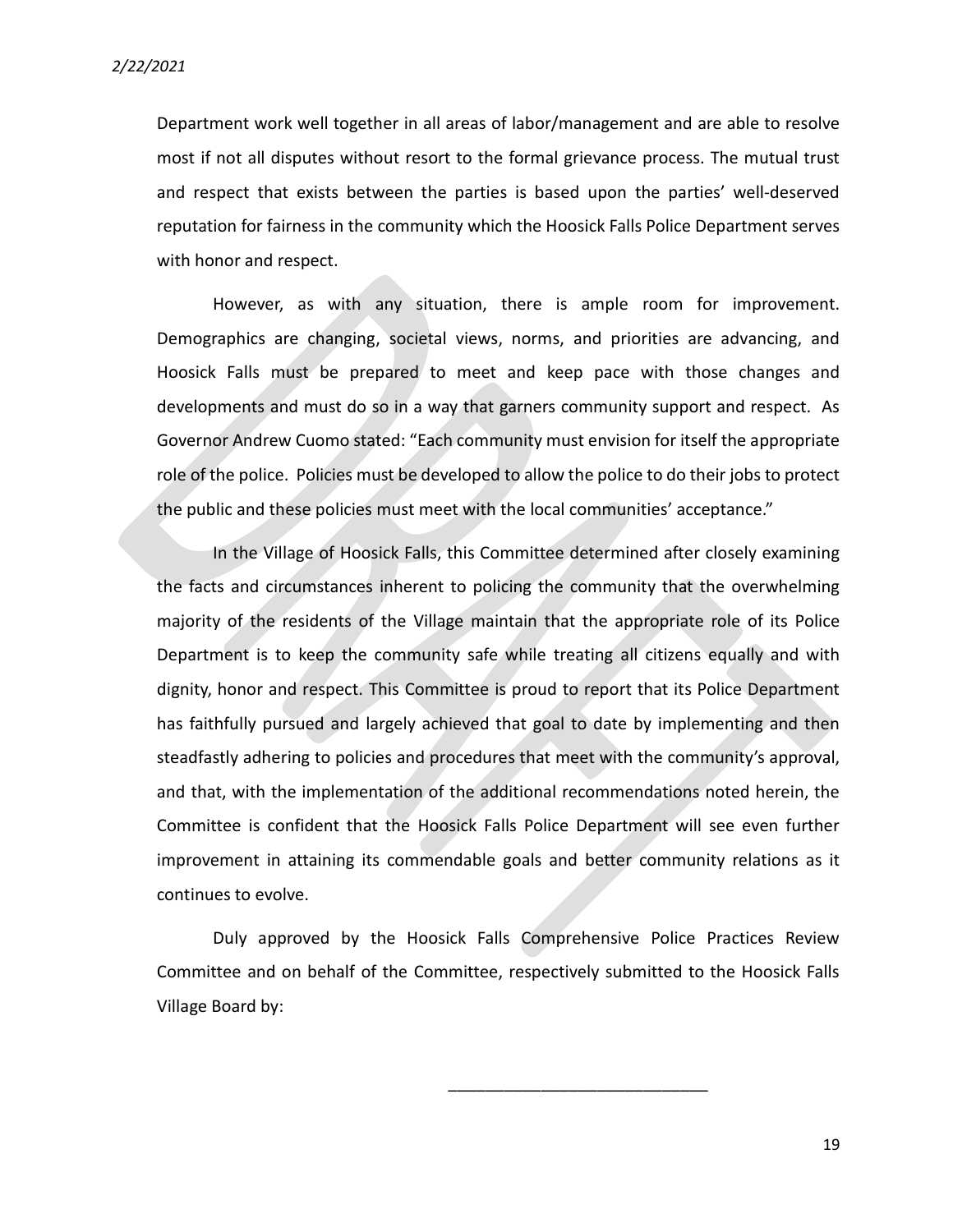Department work well together in all areas of labor/management and are able to resolve most if not all disputes without resort to the formal grievance process. The mutual trust and respect that exists between the parties is based upon the parties' well-deserved reputation for fairness in the community which the Hoosick Falls Police Department serves with honor and respect.

However, as with any situation, there is ample room for improvement. Demographics are changing, societal views, norms, and priorities are advancing, and Hoosick Falls must be prepared to meet and keep pace with those changes and developments and must do so in a way that garners community support and respect. As Governor Andrew Cuomo stated: "Each community must envision for itself the appropriate role of the police. Policies must be developed to allow the police to do their jobs to protect the public and these policies must meet with the local communities' acceptance."

In the Village of Hoosick Falls, this Committee determined after closely examining the facts and circumstances inherent to policing the community that the overwhelming majority of the residents of the Village maintain that the appropriate role of its Police Department is to keep the community safe while treating all citizens equally and with dignity, honor and respect. This Committee is proud to report that its Police Department has faithfully pursued and largely achieved that goal to date by implementing and then steadfastly adhering to policies and procedures that meet with the community's approval, and that, with the implementation of the additional recommendations noted herein, the Committee is confident that the Hoosick Falls Police Department will see even further improvement in attaining its commendable goals and better community relations as it continues to evolve.

Duly approved by the Hoosick Falls Comprehensive Police Practices Review Committee and on behalf of the Committee, respectively submitted to the Hoosick Falls Village Board by:

\_\_\_\_\_\_\_\_\_\_\_\_\_\_\_\_\_\_\_\_\_\_\_\_\_\_\_\_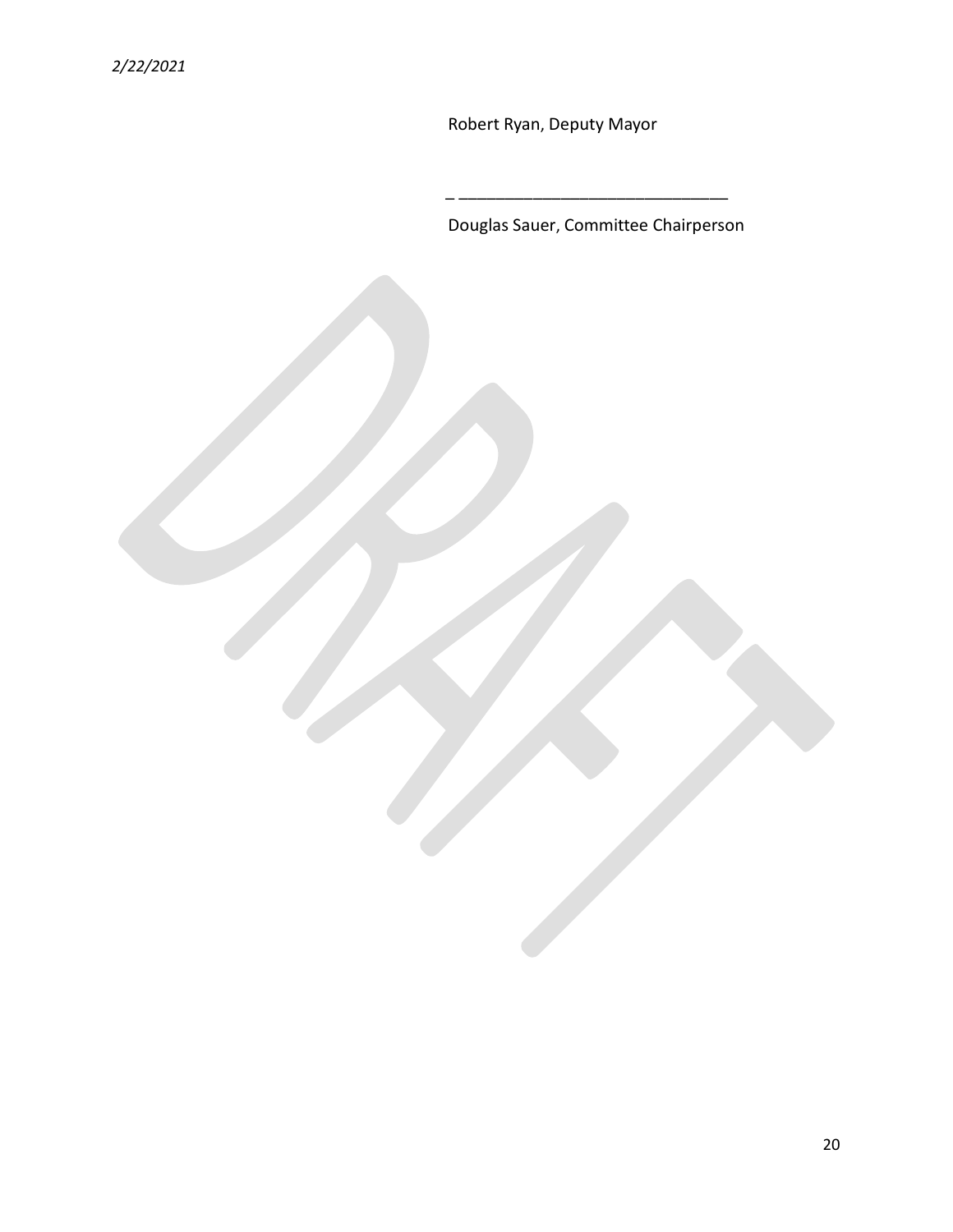Robert Ryan, Deputy Mayor

\_ \_\_\_\_\_\_\_\_\_\_\_\_\_\_\_\_\_\_\_\_\_\_\_\_\_\_\_\_\_

Douglas Sauer, Committee Chairperson